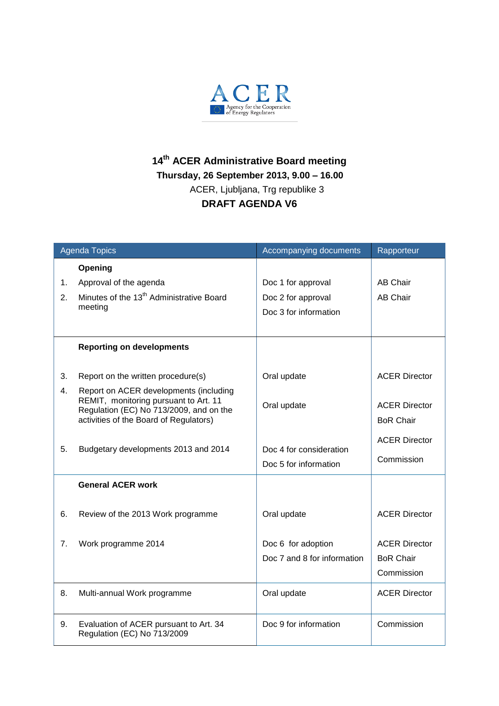

## **14 th ACER Administrative Board meeting Thursday, 26 September 2013, 9.00 – 16.00** ACER, Ljubljana, Trg republike 3 **DRAFT AGENDA V6**

| <b>Agenda Topics</b> |                                                                                 | Accompanying documents      | Rapporteur           |
|----------------------|---------------------------------------------------------------------------------|-----------------------------|----------------------|
|                      | Opening                                                                         |                             |                      |
| 1.                   | Approval of the agenda                                                          | Doc 1 for approval          | <b>AB Chair</b>      |
| 2.                   | Minutes of the 13 <sup>th</sup> Administrative Board                            | Doc 2 for approval          | <b>AB Chair</b>      |
|                      | meeting                                                                         | Doc 3 for information       |                      |
|                      |                                                                                 |                             |                      |
|                      | <b>Reporting on developments</b>                                                |                             |                      |
|                      |                                                                                 |                             |                      |
| 3.                   | Report on the written procedure(s)                                              | Oral update                 | <b>ACER Director</b> |
| 4.                   | Report on ACER developments (including<br>REMIT, monitoring pursuant to Art. 11 |                             |                      |
|                      | Regulation (EC) No 713/2009, and on the                                         | Oral update                 | <b>ACER Director</b> |
|                      | activities of the Board of Regulators)                                          |                             | <b>BoR Chair</b>     |
|                      |                                                                                 |                             | <b>ACER Director</b> |
| 5.                   | Budgetary developments 2013 and 2014                                            | Doc 4 for consideration     | Commission           |
|                      |                                                                                 | Doc 5 for information       |                      |
|                      | <b>General ACER work</b>                                                        |                             |                      |
|                      |                                                                                 |                             |                      |
| 6.                   | Review of the 2013 Work programme                                               | Oral update                 | <b>ACER Director</b> |
|                      |                                                                                 |                             |                      |
| 7.                   | Work programme 2014                                                             | Doc 6 for adoption          | <b>ACER Director</b> |
|                      |                                                                                 | Doc 7 and 8 for information | <b>BoR Chair</b>     |
|                      |                                                                                 |                             | Commission           |
| 8.                   | Multi-annual Work programme                                                     | Oral update                 | <b>ACER Director</b> |
|                      |                                                                                 |                             |                      |
| 9.                   | Evaluation of ACER pursuant to Art. 34                                          | Doc 9 for information       | Commission           |
|                      | Regulation (EC) No 713/2009                                                     |                             |                      |